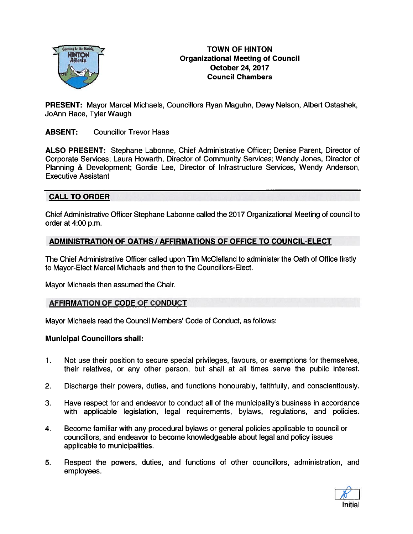

# TOWN OF HINTON Organizational Meeting of Council October 24, 2017 Council Chambers

PRESENT: Mayor Marcel Michaels, Councillors Ryan Maguhn, Dewy Nelson, Albert Ostashek, JoAnn Race, Tyler Waugh

### ABSENT: Councillor Trevor Haas

ALSO PRESENT: Stephane Labonne, Chief Administrative Officer; Denise Parent, Director of Corporate Services; Laura Howarth, Director of Community Services; Wendy Jones, Director of Planning & Development; Gordie Lee, Director of Infrastructure Services, Wendy Anderson, Executive Assistant

### CALL TO ORDER

Chief Administrative Officer Stephane Labonne called the 2017 Organizational Meeting of council to order at 4:00 p.m.

### ADMINISTRATION OF OATHS / AFFIRMATIONS OF OFFICE TO COUNCIL-ELECT

The Chief Administrative Officer called upon Tim McClelland to administer the Oath of Office firstly to Mayor-Elect Marcel Michaels and then to the Councillors-Elect.

Mayor Michaels then assumed the Chair.

#### AFFIRMATION OF CODE OF CONDUCT

Mayor Michaels read the Council Members' Code of Conduct, as follows:

#### Municipal Councillors shall:

- 1. Not use their position to secure special privileges, favours, or exemptions for themselves, their relatives, or any other person, but shall at all times serve the public interest.
- 2. Discharge their powers, duties, and functions honourably, faithfully, and conscientiously.
- 3. Have respec<sup>t</sup> for and endeavor to conduct all of the municipality's business in accordance with applicable legislation, legal requirements, bylaws, regulations, and policies.
- 4. Become familiar with any procedural bylaws or general policies applicable to council or councillors, and endeavor to become knowledgeable about legal and policy issues applicable to municipalities.
- 5. Respect the powers, duties, and functions of other councillors, administration, and employees.

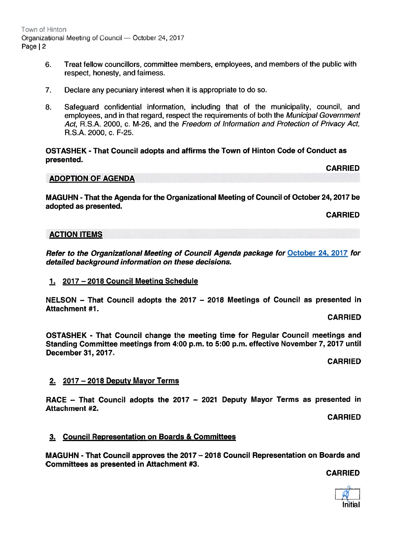Town of Hinton Organizational Meeting of Council — October 24, 2017 Page | 2

- 6. Treat fellow councillors, committee members, employees, and members of the public with respect, honesty, and fairness.
- 7. Declare any pecuniary interest when it is appropriate to do so.
- 8. Safeguard confidential information, including that of the municipality, council, and employees, and in that regard, respec<sup>t</sup> the requirements of both the Municipal Government Act, R.S.A. 2000, c. M-26, and the Freedom of Information and Protection of Privacy Act, R.S.A. 2000, c. F-25.

OSTASHEK - That Council adopts and affirms the Town of Hinton Code of Conduct as presented.

### ADOPTION OF AGENDA

MAGUHN - That the Agenda for the Organizational Meeting of Council of October 24, 2017 be adopted as presented.

CARRIED

CARRIED

#### ACTION ITEMS

Refer to the Organizational Meeting of Council Agenda package for October 24. 2017 for detailed background information on these decisions.

#### 1. 2017—2018 Council Meeting Schedule

NELSON — That Council adopts the 2017 — 2018 Meetings of Council as presented in Attachment #1.

#### CARRIED

OSTASHEK - That Council change the meeting time for Regular Council meetings and Standing Committee meetings from 4:00 p.m. to 5:00 p.m. effective November 7, 2017 until December 37, 2017.

CARRIED

#### 2. 2017 — 2018 Deputy Mayor Terms

RACE — That Council adopts the 2017 — 2021 Deputy Mayor Terms as presented in Attachment #2.

CARRIED

#### 3. Council Representation on Boards & Committees

MAGUHN - That Council approves the 2017 —2018 Council Representation on Boards and Committees as presented in Attachment #3.

CARRIED